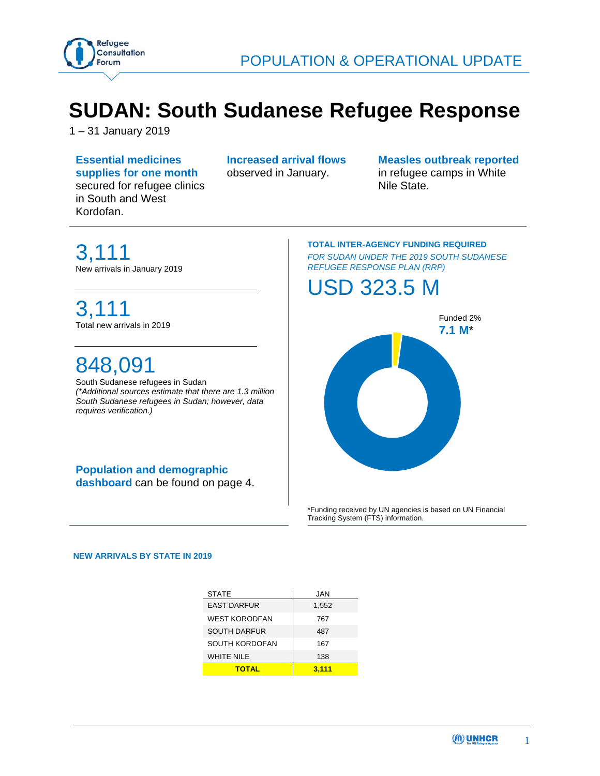

# **SUDAN: South Sudanese Refugee Response**

1 – 31 January 2019

**Essential medicines supplies for one month**  secured for refugee clinics in South and West Kordofan.

**Increased arrival flows**  observed in January.

**Measles outbreak reported**  in refugee camps in White Nile State.

3,111 New arrivals in January 2019

## 3,111 Total new arrivals in 2019

# 848,091

South Sudanese refugees in Sudan *(\*Additional sources estimate that there are 1.3 million South Sudanese refugees in Sudan; however, data requires verification.)* 

## **Population and demographic**

**dashboard** can be found on page 4.

#### **TOTAL INTER-AGENCY FUNDING REQUIRED**  *FOR SUDAN UNDER THE 2019 SOUTH SUDANESE REFUGEE RESPONSE PLAN (RRP)*

## USD 323.5 M



\*Funding received by UN agencies is based on UN Financial Tracking System (FTS) information.

 **NEW ARRIVALS BY STATE IN 2019**

| <b>STATE</b>         | <b>JAN</b> |
|----------------------|------------|
| <b>EAST DARFUR</b>   | 1,552      |
| <b>WEST KORODFAN</b> | 767        |
| <b>SOUTH DARFUR</b>  | 487        |
| SOUTH KORDOFAN       | 167        |
| <b>WHITE NILE</b>    | 138        |
| <b>TOTAL</b>         | 3.111      |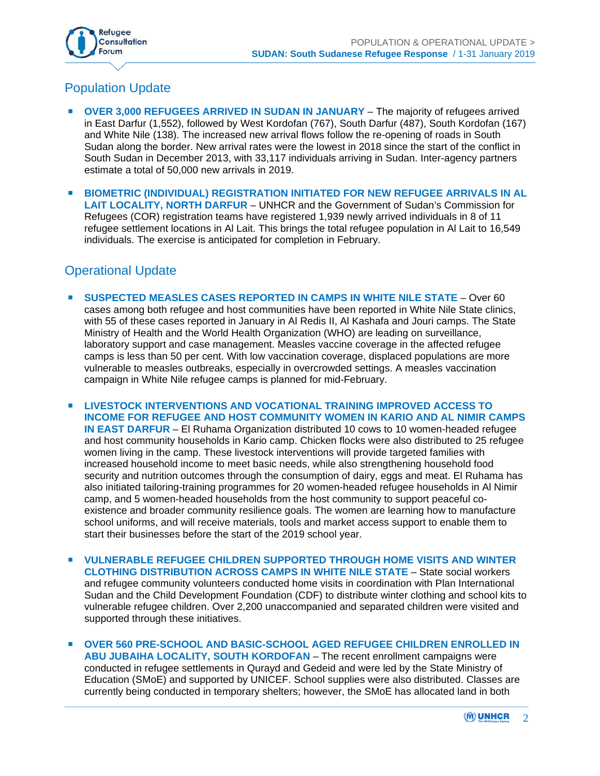

## Population Update

- **OVER 3,000 REFUGEES ARRIVED IN SUDAN IN JANUARY**  The majority of refugees arrived in East Darfur (1,552), followed by West Kordofan (767), South Darfur (487), South Kordofan (167) and White Nile (138). The increased new arrival flows follow the re-opening of roads in South Sudan along the border. New arrival rates were the lowest in 2018 since the start of the conflict in South Sudan in December 2013, with 33,117 individuals arriving in Sudan. Inter-agency partners estimate a total of 50,000 new arrivals in 2019.
- **BIOMETRIC (INDIVIDUAL) REGISTRATION INITIATED FOR NEW REFUGEE ARRIVALS IN AL LAIT LOCALITY, NORTH DARFUR** – UNHCR and the Government of Sudan's Commission for Refugees (COR) registration teams have registered 1,939 newly arrived individuals in 8 of 11 refugee settlement locations in Al Lait. This brings the total refugee population in Al Lait to 16,549 individuals. The exercise is anticipated for completion in February.

### Operational Update

- **SUSPECTED MEASLES CASES REPORTED IN CAMPS IN WHITE NILE STATE** Over 60 cases among both refugee and host communities have been reported in White Nile State clinics, with 55 of these cases reported in January in Al Redis II, Al Kashafa and Jouri camps. The State Ministry of Health and the World Health Organization (WHO) are leading on surveillance, laboratory support and case management. Measles vaccine coverage in the affected refugee camps is less than 50 per cent. With low vaccination coverage, displaced populations are more vulnerable to measles outbreaks, especially in overcrowded settings. A measles vaccination campaign in White Nile refugee camps is planned for mid-February.
- **LIVESTOCK INTERVENTIONS AND VOCATIONAL TRAINING IMPROVED ACCESS TO INCOME FOR REFUGEE AND HOST COMMUNITY WOMEN IN KARIO AND AL NIMIR CAMPS IN EAST DARFUR** – El Ruhama Organization distributed 10 cows to 10 women-headed refugee and host community households in Kario camp. Chicken flocks were also distributed to 25 refugee women living in the camp. These livestock interventions will provide targeted families with increased household income to meet basic needs, while also strengthening household food security and nutrition outcomes through the consumption of dairy, eggs and meat. El Ruhama has also initiated tailoring-training programmes for 20 women-headed refugee households in Al Nimir camp, and 5 women-headed households from the host community to support peaceful coexistence and broader community resilience goals. The women are learning how to manufacture school uniforms, and will receive materials, tools and market access support to enable them to start their businesses before the start of the 2019 school year.
- **VULNERABLE REFUGEE CHILDREN SUPPORTED THROUGH HOME VISITS AND WINTER CLOTHING DISTRIBUTION ACROSS CAMPS IN WHITE NILE STATE** – State social workers and refugee community volunteers conducted home visits in coordination with Plan International Sudan and the Child Development Foundation (CDF) to distribute winter clothing and school kits to vulnerable refugee children. Over 2,200 unaccompanied and separated children were visited and supported through these initiatives.
- **OVER 560 PRE-SCHOOL AND BASIC-SCHOOL AGED REFUGEE CHILDREN ENROLLED IN ABU JUBAIHA LOCALITY, SOUTH KORDOFAN** – The recent enrollment campaigns were conducted in refugee settlements in Qurayd and Gedeid and were led by the State Ministry of Education (SMoE) and supported by UNICEF. School supplies were also distributed. Classes are currently being conducted in temporary shelters; however, the SMoE has allocated land in both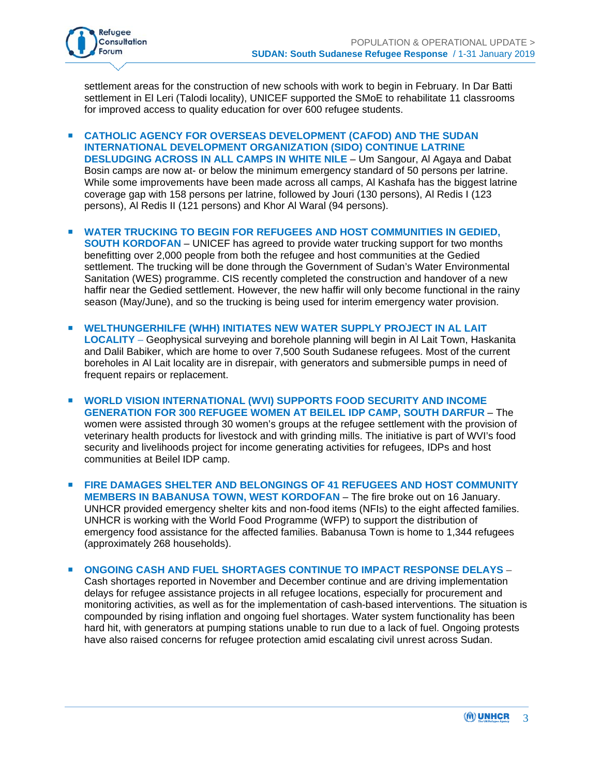

settlement areas for the construction of new schools with work to begin in February. In Dar Batti settlement in El Leri (Talodi locality), UNICEF supported the SMoE to rehabilitate 11 classrooms for improved access to quality education for over 600 refugee students.

- **CATHOLIC AGENCY FOR OVERSEAS DEVELOPMENT (CAFOD) AND THE SUDAN INTERNATIONAL DEVELOPMENT ORGANIZATION (SIDO) CONTINUE LATRINE DESLUDGING ACROSS IN ALL CAMPS IN WHITE NILE** – Um Sangour, Al Agaya and Dabat Bosin camps are now at- or below the minimum emergency standard of 50 persons per latrine. While some improvements have been made across all camps, Al Kashafa has the biggest latrine coverage gap with 158 persons per latrine, followed by Jouri (130 persons), Al Redis I (123 persons), Al Redis II (121 persons) and Khor Al Waral (94 persons).
- **WATER TRUCKING TO BEGIN FOR REFUGEES AND HOST COMMUNITIES IN GEDIED, SOUTH KORDOFAN** – UNICEF has agreed to provide water trucking support for two months benefitting over 2,000 people from both the refugee and host communities at the Gedied settlement. The trucking will be done through the Government of Sudan's Water Environmental Sanitation (WES) programme. CIS recently completed the construction and handover of a new haffir near the Gedied settlement. However, the new haffir will only become functional in the rainy season (May/June), and so the trucking is being used for interim emergency water provision.
- **WELTHUNGERHILFE (WHH) INITIATES NEW WATER SUPPLY PROJECT IN AL LAIT LOCALITY** – Geophysical surveying and borehole planning will begin in Al Lait Town, Haskanita and Dalil Babiker, which are home to over 7,500 South Sudanese refugees. Most of the current boreholes in Al Lait locality are in disrepair, with generators and submersible pumps in need of frequent repairs or replacement.
- **WORLD VISION INTERNATIONAL (WVI) SUPPORTS FOOD SECURITY AND INCOME GENERATION FOR 300 REFUGEE WOMEN AT BEILEL IDP CAMP, SOUTH DARFUR** – The women were assisted through 30 women's groups at the refugee settlement with the provision of veterinary health products for livestock and with grinding mills. The initiative is part of WVI's food security and livelihoods project for income generating activities for refugees, IDPs and host communities at Beilel IDP camp.
- **FIRE DAMAGES SHELTER AND BELONGINGS OF 41 REFUGEES AND HOST COMMUNITY MEMBERS IN BABANUSA TOWN, WEST KORDOFAN** – The fire broke out on 16 January. UNHCR provided emergency shelter kits and non-food items (NFIs) to the eight affected families. UNHCR is working with the World Food Programme (WFP) to support the distribution of emergency food assistance for the affected families. Babanusa Town is home to 1,344 refugees (approximately 268 households).

 **ONGOING CASH AND FUEL SHORTAGES CONTINUE TO IMPACT RESPONSE DELAYS** – Cash shortages reported in November and December continue and are driving implementation delays for refugee assistance projects in all refugee locations, especially for procurement and monitoring activities, as well as for the implementation of cash-based interventions. The situation is compounded by rising inflation and ongoing fuel shortages. Water system functionality has been hard hit, with generators at pumping stations unable to run due to a lack of fuel. Ongoing protests have also raised concerns for refugee protection amid escalating civil unrest across Sudan.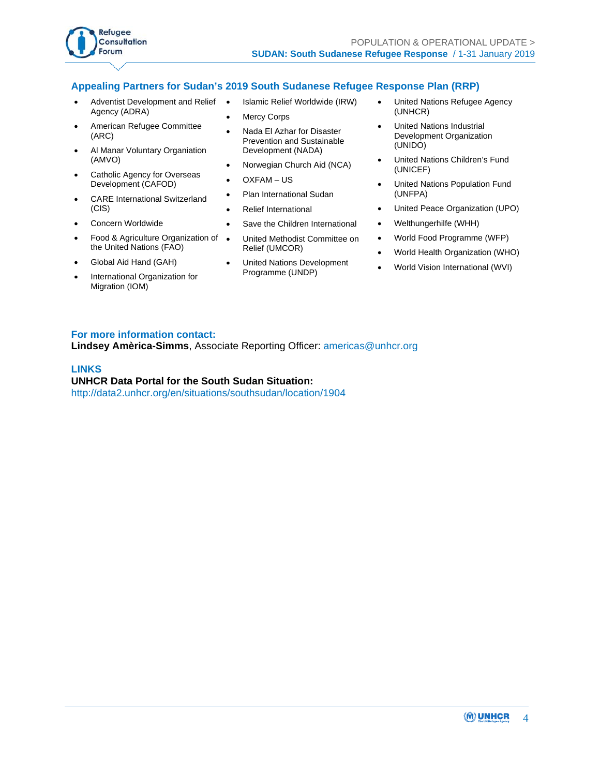

### **Appealing Partners for Sudan's 2019 South Sudanese Refugee Response Plan (RRP)**

- Adventist Development and Relief Agency (ADRA)
- American Refugee Committee (ARC)
- Al Manar Voluntary Organiation (AMVO)
- Catholic Agency for Overseas Development (CAFOD)
- CARE International Switzerland (CIS)
- Concern Worldwide
- Food & Agriculture Organization of the United Nations (FAO)
- Global Aid Hand (GAH)
- International Organization for Migration (IOM)
- Islamic Relief Worldwide (IRW)
- Mercy Corps
- Nada El Azhar for Disaster Prevention and Sustainable Development (NADA)
- Norwegian Church Aid (NCA)
- OXFAM US
- Plan International Sudan
- Relief International
- Save the Children International
- United Methodist Committee on Relief (UMCOR)
- United Nations Development Programme (UNDP)
- United Nations Refugee Agency (UNHCR)
- United Nations Industrial Development Organization (UNIDO)
- United Nations Children's Fund (UNICEF)
- United Nations Population Fund (UNFPA)
- United Peace Organization (UPO)
- Welthungerhilfe (WHH)
- World Food Programme (WFP)
- World Health Organization (WHO)
- World Vision International (WVI)

#### **For more information contact:**

**Lindsey Amèrica-Simms**, Associate Reporting Officer: americas@unhcr.org

#### **LINKS**

**UNHCR Data Portal for the South Sudan Situation:**  http://data2.unhcr.org/en/situations/southsudan/location/1904